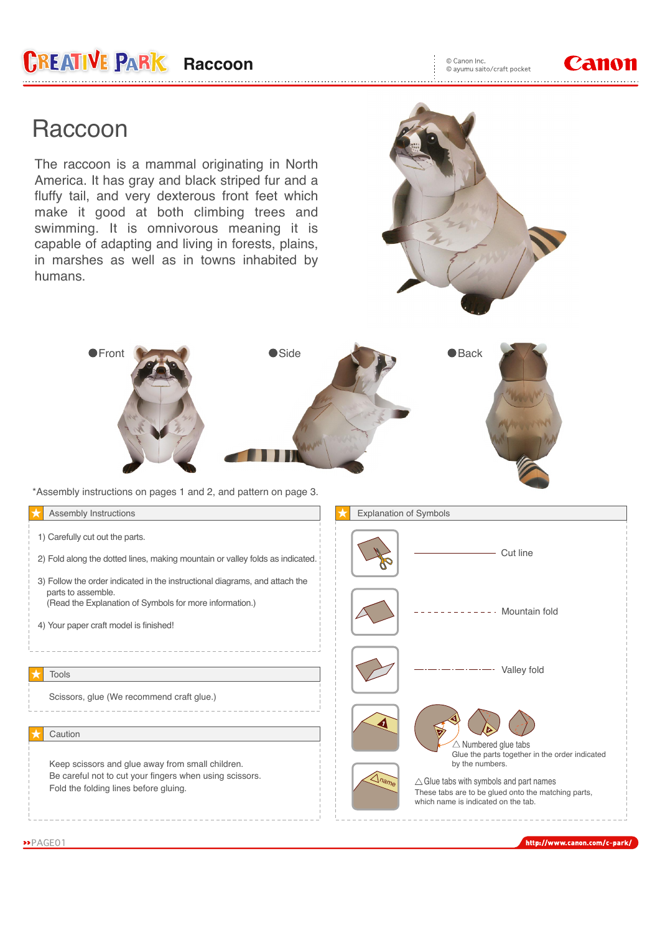

## **Raccoon**

The raccoon is a mammal originating in North America. It has gray and black striped fur and a fluffy tail, and very dexterous front feet which make it good at both climbing trees and swimming. It is omnivorous meaning it is capable of adapting and living in forests, plains, in marshes as well as in towns inhabited by humans.





\*Assembly instructions on pages 1 and 2, and pattern on page 3.

| Assembly Instructions                                                                                                                                                                                  | <b>Explanation of Symbols</b>                                                                                                                                                                                                            |
|--------------------------------------------------------------------------------------------------------------------------------------------------------------------------------------------------------|------------------------------------------------------------------------------------------------------------------------------------------------------------------------------------------------------------------------------------------|
| 1) Carefully cut out the parts.<br>2) Fold along the dotted lines, making mountain or valley folds as indicated.                                                                                       | Cut line                                                                                                                                                                                                                                 |
| 3) Follow the order indicated in the instructional diagrams, and attach the<br>parts to assemble.<br>(Read the Explanation of Symbols for more information.)<br>4) Your paper craft model is finished! | Mountain fold                                                                                                                                                                                                                            |
| <b>Tools</b>                                                                                                                                                                                           | Valley fold                                                                                                                                                                                                                              |
| Scissors, glue (We recommend craft glue.)<br>Caution                                                                                                                                                   | $\triangle$ Numbered glue tabs                                                                                                                                                                                                           |
| Keep scissors and glue away from small children.<br>Be careful not to cut your fingers when using scissors.<br>Fold the folding lines before gluing.                                                   | Glue the parts together in the order indicated<br>by the numbers.<br>$\triangle$ name<br>$\triangle$ Glue tabs with symbols and part names<br>These tabs are to be glued onto the matching parts,<br>which name is indicated on the tab. |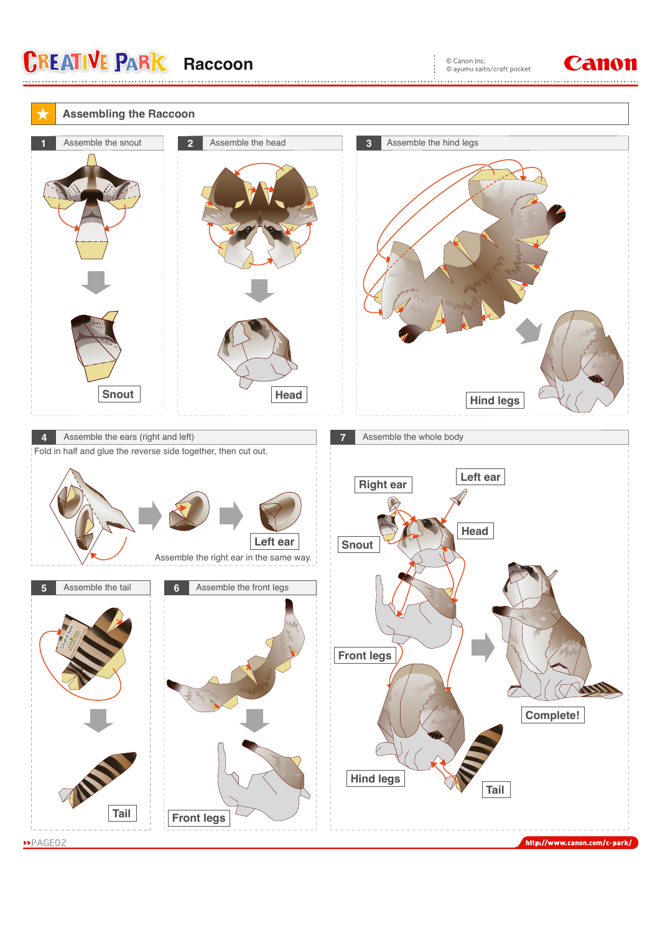**CREATIVE PARK Raccoon**

© Canon Inc.<br>© ayumu saito/craft pocket